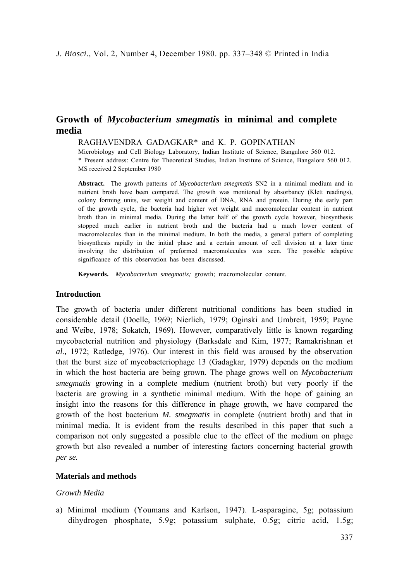# **Growth of** *Mycobacterium smegmatis* **in minimal and complete media**

RAGHAVENDRA GADAGKAR\* and K. P. GOPINATHAN

Microbiology and Cell Biology Laboratory, Indian Institute of Science, Bangalore 560 012. \* Present address: Centre for Theoretical Studies, Indian Institute of Science, Bangalore 560 012. MS received 2 September 1980

**Abstract.** The growth patterns of *Mycobacterium smegmatis* SN2 in a minimal medium and in nutrient broth have been compared. The growth was monitored by absorbancy (Klett readings), colony forming units, wet weight and content of DNA, RNA and protein. During the early part of the growth cycle, the bacteria had higher wet weight and macromolecular content in nutrient broth than in minimal media. During the latter half of the growth cycle however, biosynthesis stopped much earlier in nutrient broth and the bacteria had a much lower content of macromolecules than in the minimal medium. In both the media, a general pattern of completing biosynthesis rapidly in the initial phase and a certain amount of cell division at a later time involving the distribution of preformed macromolecules was seen. The possible adaptive significance of this observation has been discussed.

**Keywords.** *Mycobacterium smegmatis;* growth; macromolecular content.

#### **Introduction**

The growth of bacteria under different nutritional conditions has been studied in considerable detail (Doelle, 1969; Nierlich, 1979; Oginski and Umbreit, 1959; Payne and Weibe, 1978; Sokatch, 1969). However, comparatively little is known regarding mycobacterial nutrition and physiology (Barksdale and Kim, 1977; Ramakrishnan *et al.,* 1972; Ratledge, 1976). Our interest in this field was aroused by the observation that the burst size of mycobacteriophage 13 (Gadagkar, 1979) depends on the medium in which the host bacteria are being grown. The phage grows well on *Mycobacterium smegmatis* growing in a complete medium (nutrient broth) but very poorly if the bacteria are growing in a synthetic minimal medium. With the hope of gaining an insight into the reasons for this difference in phage growth, we have compared the growth of the host bacterium *M. smegmatis* in complete (nutrient broth) and that in minimal media. It is evident from the results described in this paper that such a comparison not only suggested a possible clue to the effect of the medium on phage growth but also revealed a number of interesting factors concerning bacterial growth *per se.* 

## **Materials and methods**

# *Growth Media*

a) Minimal medium (Youmans and Karlson, 1947). L-asparagine, 5g; potassium dihydrogen phosphate, 5.9g; potassium sulphate, 0.5g; citric acid, 1.5g;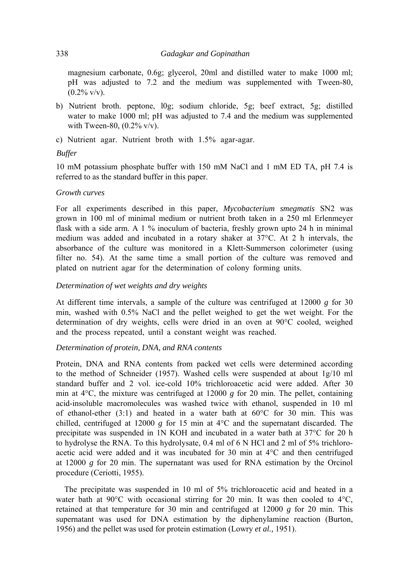magnesium carbonate, 0.6g; glycerol, 20ml and distilled water to make 1000 ml; pH was adjusted to 7.2 and the medium was supplemented with Tween-80,  $(0.2\%$  v/v).

- b) Nutrient broth. peptone, l0g; sodium chloride, 5g; beef extract, 5g; distilled water to make 1000 ml; pH was adjusted to 7.4 and the medium was supplemented with Tween-80,  $(0.2\%$  v/v).
- c) Nutrient agar. Nutrient broth with 1.5% agar-agar.

## *Buffer*

10 mM potassium phosphate buffer with 150 mM NaCl and 1 mM ED TA, pH 7.4 is referred to as the standard buffer in this paper.

### *Growth curves*

For all experiments described in this paper, *Mycobacterium smegmatis* SN2 was grown in 100 ml of minimal medium or nutrient broth taken in a 250 ml Erlenmeyer flask with a side arm. A 1 % inoculum of bacteria, freshly grown upto 24 h in minimal medium was added and incubated in a rotary shaker at 37°C. At 2 h intervals, the absorbance of the culture was monitored in a Klett-Summerson colorimeter (using filter no. 54). At the same time a small portion of the culture was removed and plated on nutrient agar for the determination of colony forming units.

# *Determination of wet weights and dry weights*

At different time intervals, a sample of the culture was centrifuged at  $12000 g$  for 30 min, washed with 0.5% NaCl and the pellet weighed to get the wet weight. For the determination of dry weights, cells were dried in an oven at 90°C cooled, weighed and the process repeated, until a constant weight was reached.

### *Determination of protein, DNA, and RNA contents*

Protein, DNA and RNA contents from packed wet cells were determined according to the method of Schneider (1957). Washed cells were suspended at about  $1g/10$  ml standard buffer and 2 vol. ice-cold 10% trichloroacetic acid were added. After 30 min at  $4^{\circ}$ C, the mixture was centrifuged at 12000 *g* for 20 min. The pellet, containing acid-insoluble macromolecules was washed twice with ethanol, suspended in 10 ml of ethanol-ether (3:1) and heated in a water bath at  $60^{\circ}$ C for 30 min. This was chilled, centrifuged at 12000 *g* for 15 min at 4°C and the supernatant discarded. The precipitate was suspended in 1Ν KOH and incubated in a water bath at 37°C for 20 h to hydrolyse the RNA. To this hydrolysate, 0.4 ml of 6 Ν HCl and 2 ml of 5% trichloroacetic acid were added and it was incubated for 30 min at 4°C and then centrifuged at 12000 *g* for 20 min. The supernatant was used for RNA estimation by the Orcinol procedure (Ceriotti, 1955).

The precipitate was suspended in 10 ml of 5% trichloroacetic acid and heated in a water bath at 90°C with occasional stirring for 20 min. It was then cooled to 4°C, retained at that temperature for 30 min and centrifuged at 12000 *g* for 20 min. This supernatant was used for DNA estimation by the diphenylamine reaction (Burton, 1956) and the pellet was used for protein estimation (Lowry *et al.,* 1951).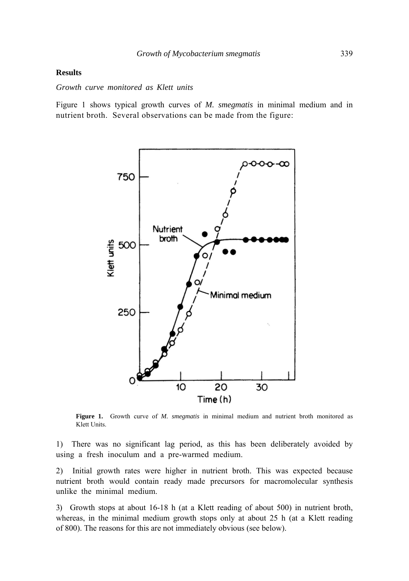# **Results**

#### *Growth curve monitored as Klett units*

Figure 1 shows typical growth curves of *M. smegmatis* in minimal medium and in nutrient broth. Several observations can be made from the figure:



**Figure 1.** Growth curve of *M. smegmatis* in minimal medium and nutrient broth monitored as Klett Units.

1) There was no significant lag period, as this has been deliberately avoided by using a fresh inoculum and a pre-warmed medium.

2) Initial growth rates were higher in nutrient broth. This was expected because nutrient broth would contain ready made precursors for macromolecular synthesis unlike the minimal medium.

3) Growth stops at about 16-18 h (at a Klett reading of about 500) in nutrient broth, whereas, in the minimal medium growth stops only at about 25 h (at a Klett reading of 800). The reasons for this are not immediately obvious (see below).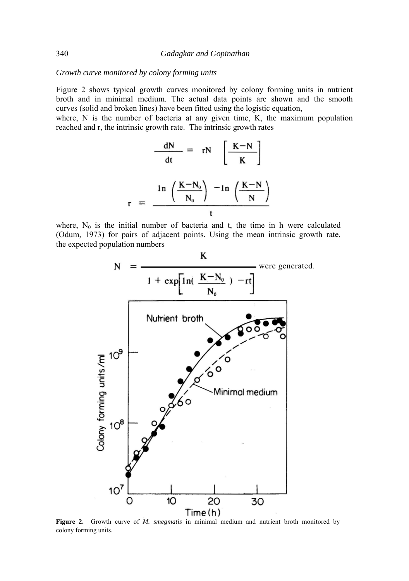*Growth curve monitored by colony forming units* 

Figure 2 shows typical growth curves monitored by colony forming units in nutrient broth and in minimal medium. The actual data points are shown and the smooth curves (solid and broken lines) have been fitted using the logistic equation,

where, N is the number of bacteria at any given time, K, the maximum population reached and r, the intrinsic growth rate. The intrinsic growth rates

$$
\frac{dN}{dt} = rN \left[ \frac{K-N}{K} \right]
$$

$$
r = \frac{\ln \left( \frac{K-N_0}{N_0} \right) - \ln \left( \frac{K-N}{N} \right)}{t}
$$

where,  $N_0$  is the initial number of bacteria and t, the time in h were calculated (Odum, 1973) for pairs of adjacent points. Using the mean intrinsic growth rate, the expected population numbers



Figure 2. Growth curve of *M. smegmatis* in minimal medium and nutrient broth monitored by colony forming units.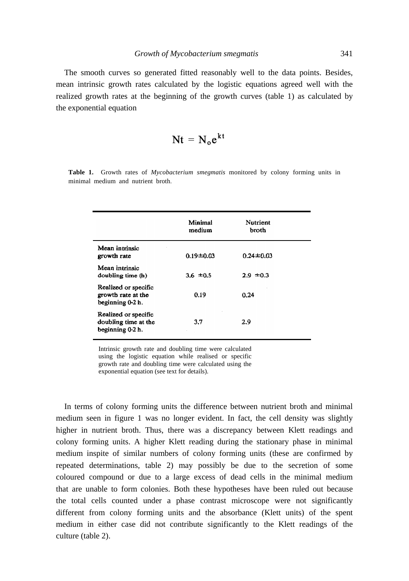The smooth curves so generated fitted reasonably well to the data points. Besides, mean intrinsic growth rates calculated by the logistic equations agreed well with the realized growth rates at the beginning of the growth curves (table 1) as calculated by the exponential equation

$$
Nt = N_0 e^{kt}
$$

**Table 1.** Growth rates of *Mycobacterium smegmatis* monitored by colony forming units in minimal medium and nutrient broth.

| Minimal<br>medium | Nutrient<br>hroth |  |
|-------------------|-------------------|--|
| $0.19 = 0.03$     | $0.24 \pm 0.03$   |  |
| $3.6 \pm 0.5$     | $2.9 \pm 0.3$     |  |
| 0.19              | 0.24              |  |
| 3.7               | 2.9               |  |
|                   |                   |  |

Intrinsic growth rate and doubling time were calculated using the logistic equation while realised or specific growth rate and doubling time were calculated using the exponential equation (see text for details).

In terms of colony forming units the difference between nutrient broth and minimal medium seen in figure 1 was no longer evident. In fact, the cell density was slightly higher in nutrient broth. Thus, there was a discrepancy between Klett readings and colony forming units. A higher Klett reading during the stationary phase in minimal medium inspite of similar numbers of colony forming units (these are confirmed by repeated determinations, table 2) may possibly be due to the secretion of some coloured compound or due to a large excess of dead cells in the minimal medium that are unable to form colonies. Both these hypotheses have been ruled out because the total cells counted under a phase contrast microscope were not significantly different from colony forming units and the absorbance (Klett units) of the spent medium in either case did not contribute significantly to the Klett readings of the culture (table 2).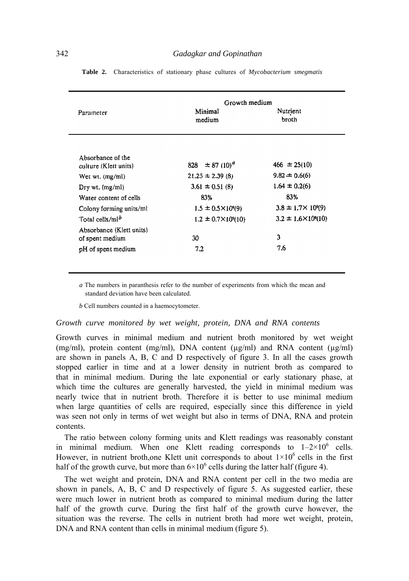| Parameter                                   | Growth medium                   |                                 |  |
|---------------------------------------------|---------------------------------|---------------------------------|--|
|                                             | Minimal<br>medium               | Nutrient<br>broth               |  |
| Absorbance of the                           |                                 |                                 |  |
| culture (Klett units)                       | 828 $\pm 87 (10)^a$             | $466 \pm 25(10)$                |  |
| Wet wt. $(mg/ml)$                           | $21.25 \pm 2.39(8)$             | $9.82 \pm 0.6(6)$               |  |
| $Dry$ wt. $(mg/ml)$                         | $3.61 \pm 0.51(8)$              | $1.64 \pm 0.2(6)$               |  |
| Water content of cells                      | 83%                             | 83%                             |  |
| Colony forming units/ml                     | $1.5 \pm 0.5 \times 10^{9}(9)$  | $3.8 \pm 1.7 \times 10^{9}(9)$  |  |
| Total cells/ml <sup>b</sup>                 | $1.2 \pm 0.7 \times 10^{9}(10)$ | $3.2 \pm 1.6 \times 10^{9}(10)$ |  |
| Absorbance (Klett units)<br>of spent medium | 30                              | 3                               |  |
| pH of spent medium                          | 7.2                             | 7.6                             |  |

**Table 2.** Characteristics of stationary phase cultures of *Mycobacterium smegmatis*

*a* The numbers in paranthesis refer to the number of experiments from which the mean and standard deviation have been calculated.

*b* Cell numbers counted in a haemocytometer.

#### *Growth curve monitored by wet weight, protein, DNA and RNA contents*

Growth curves in minimal medium and nutrient broth monitored by wet weight (mg/ml), protein content (mg/ml), DNA content ( $\mu$ g/ml) and RNA content ( $\mu$ g/ml) are shown in panels A, B, C and D respectively of figure 3. In all the cases growth stopped earlier in time and at a lower density in nutrient broth as compared to that in minimal medium. During the late exponential or early stationary phase, at which time the cultures are generally harvested, the yield in minimal medium was nearly twice that in nutrient broth. Therefore it is better to use minimal medium when large quantities of cells are required, especially since this difference in yield was seen not only in terms of wet weight but also in terms of DNA, RNA and protein contents.

The ratio between colony forming units and Klett readings was reasonably constant in minimal medium. When one Klett reading corresponds to  $1-2\times10^6$  cells. However, in nutrient broth,one Klett unit corresponds to about  $1 \times 10^6$  cells in the first half of the growth curve, but more than  $6 \times 10^6$  cells during the latter half (figure 4).

The wet weight and protein, DNA and RNA content per cell in the two media are shown in panels, A, B, C and D respectively of figure 5. As suggested earlier, these were much lower in nutrient broth as compared to minimal medium during the latter half of the growth curve. During the first half of the growth curve however, the situation was the reverse. The cells in nutrient broth had more wet weight, protein, DNA and RNA content than cells in minimal medium (figure 5).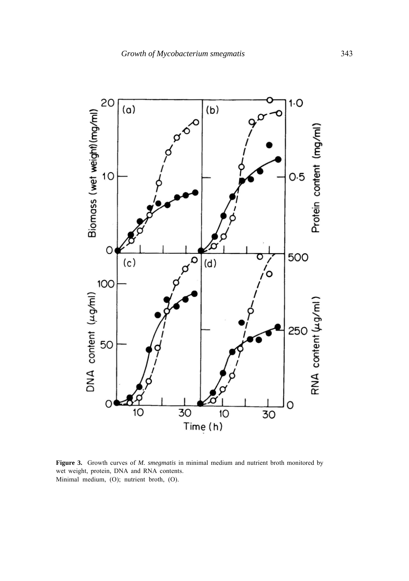

**Figure 3.** Growth curves of *M. smegmatis* in minimal medium and nutrient broth monitored by wet weight, protein, DNA and RNA contents. Minimal medium, (O); nutrient broth, (O).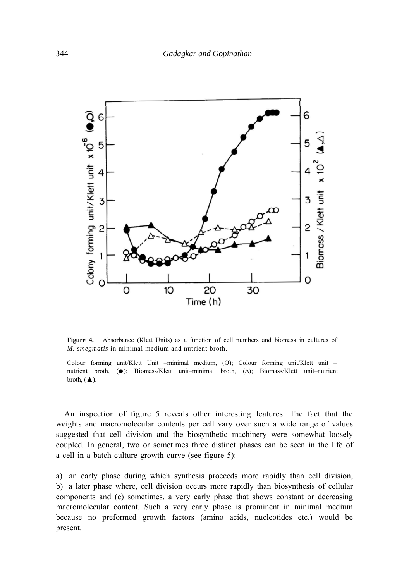

Figure 4. Absorbance (Klett Units) as a function of cell numbers and biomass in cultures of *M. smegmatis* in minimal medium and nutrient broth.

Colour forming unit/Klett Unit –minimal medium, (O); Colour forming unit/Klett unit – nutrient broth, (●); Biomass/Klett unit–minimal broth, (∆); Biomass/Klett unit–nutrient broth,  $(\triangle)$ .

An inspection of figure 5 reveals other interesting features. The fact that the weights and macromolecular contents per cell vary over such a wide range of values suggested that cell division and the biosynthetic machinery were somewhat loosely coupled. In general, two or sometimes three distinct phases can be seen in the life of a cell in a batch culture growth curve (see figure 5):

a) an early phase during which synthesis proceeds more rapidly than cell division, b) a later phase where, cell division occurs more rapidly than biosynthesis of cellular components and (c) sometimes, a very early phase that shows constant or decreasing macromolecular content. Such a very early phase is prominent in minimal medium because no preformed growth factors (amino acids, nucleotides etc.) would be present.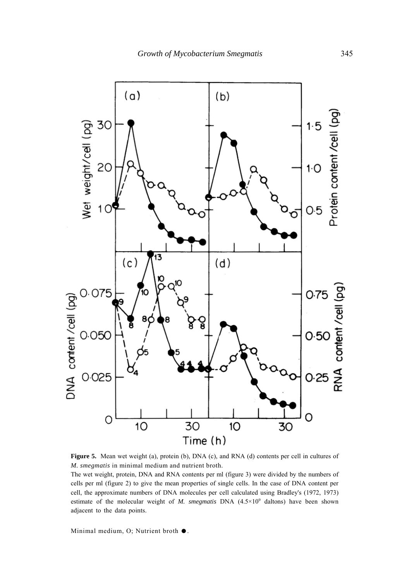

**Figure 5.** Mean wet weight (a), protein (b), DNA (c), and RNA (d) contents per cell in cultures of *M. smegmatis* in minimal medium and nutrient broth.

The wet weight, protein, DNA and RNA contents per ml (figure 3) were divided by the numbers of cells per ml (figure 2) to give the mean properties of single cells. In the case of DNA content per cell, the approximate numbers of DNA molecules per cell calculated using Bradley's (1972, 1973) estimate of the molecular weight of *M. smegmatis* DNA (4.5×109 daltons) have been shown adjacent to the data points.

Minimal medium, O; Nutrient broth ●.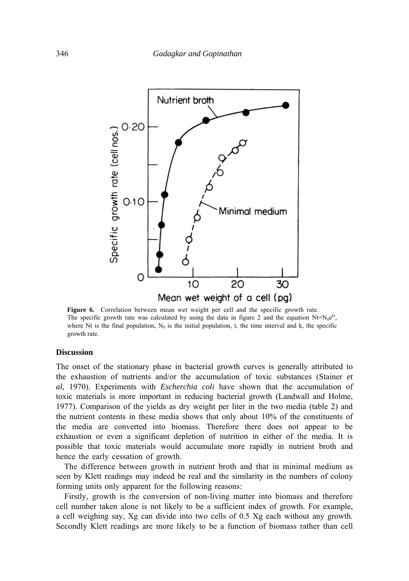

Figure 6. Correlation between mean wet weight per cell and the specific growth rate. The specific growth rate was calculated by using the data in figure 2 and the equation  $Nt=N_0e^{kt}$ , where Nt is the final population,  $N_0$  is the initial population, t, the time interval and k, the specific growth rate.

#### **Discussion**

The onset of the stationary phase in bacterial growth curves is generally attributed to the exhaustion of nutrients and/or the accumulation of toxic substances (Stainer *et al,* 1970). Experiments with *Escherchia coli* have shown that the accumulation of toxic materials is more important in reducing bacterial growth (Landwall and Holme, 1977). Comparison of the yields as dry weight per liter in the two media (table 2) and the nutrient contents in these media shows that only about 10% of the constituents of the media are converted into biomass. Therefore there does not appear to be exhaustion or even a significant depletion of nutrition in either of the media. It is possible that toxic materials would accumulate more rapidly in nutrient broth and hence the early cessation of growth.

The difference between growth in nutrient broth and that in minimal medium as seen by Klett readings may indeed be real and the similarity in the numbers of colony forming units only apparent for the following reasons:

Firstly, growth is the conversion of non-living matter into biomass and therefore cell number taken alone is not likely to be a sufficient index of growth. For example, a cell weighing say, Xg can divide into two cells of 0.5 Xg each without any growth. Secondly Klett readings are more likely to be a function of biomass rather than cell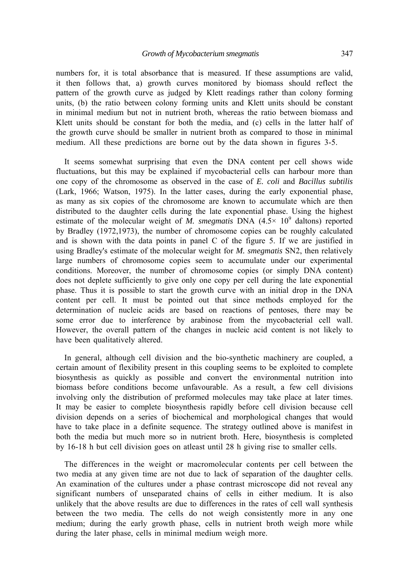numbers for, it is total absorbance that is measured. If these assumptions are valid, it then follows that, a) growth curves monitored by biomass should reflect the pattern of the growth curve as judged by Klett readings rather than colony forming units, (b) the ratio between colony forming units and Klett units should be constant in minimal medium but not in nutrient broth, whereas the ratio between biomass and Klett units should be constant for both the media, and (c) cells in the latter half of the growth curve should be smaller in nutrient broth as compared to those in minimal medium. All these predictions are borne out by the data shown in figures 3-5.

It seems somewhat surprising that even the DNA content per cell shows wide fluctuations, but this may be explained if mycobacterial cells can harbour more than one copy of the chromosome as observed in the case of *E. coli* and *Bacillus subtilis* (Lark, 1966; Watson, 1975). In the latter cases, during the early exponential phase, as many as six copies of the chromosome are known to accumulate which are then distributed to the daughter cells during the late exponential phase. Using the highest estimate of the molecular weight of *M. smegmatis* DNA  $(4.5 \times 10^9)$  daltons) reported by Bradley (1972,1973), the number of chromosome copies can be roughly calculated and is shown with the data points in panel C of the figure 5. If we are justified in using Bradley's estimate of the molecular weight for *M. smegmatis* SN2, then relatively large numbers of chromosome copies seem to accumulate under our experimental conditions. Moreover, the number of chromosome copies (or simply DNA content) does not deplete sufficiently to give only one copy per cell during the late exponential phase. Thus it is possible to start the growth curve with an initial drop in the DNA content per cell. It must be pointed out that since methods employed for the determination of nucleic acids are based on reactions of pentoses, there may be some error due to interference by arabinose from the mycobacterial cell wall. However, the overall pattern of the changes in nucleic acid content is not likely to have been qualitatively altered.

In general, although cell division and the bio-synthetic machinery are coupled, a certain amount of flexibility present in this coupling seems to be exploited to complete biosynthesis as quickly as possible and convert the environmental nutrition into biomass before conditions become unfavourable. As a result, a few cell divisions involving only the distribution of preformed molecules may take place at later times. It may be easier to complete biosynthesis rapidly before cell division because cell division depends on a series of biochemical and morphological changes that would have to take place in a definite sequence. The strategy outlined above is manifest in both the media but much more so in nutrient broth. Here, biosynthesis is completed by 16-18 h but cell division goes on atleast until 28 h giving rise to smaller cells.

The differences in the weight or macromolecular contents per cell between the two media at any given time are not due to lack of separation of the daughter cells. An examination of the cultures under a phase contrast microscope did not reveal any significant numbers of unseparated chains of cells in either medium. It is also unlikely that the above results are due to differences in the rates of cell wall synthesis between the two media. The cells do not weigh consistently more in any one medium; during the early growth phase, cells in nutrient broth weigh more while during the later phase, cells in minimal medium weigh more.